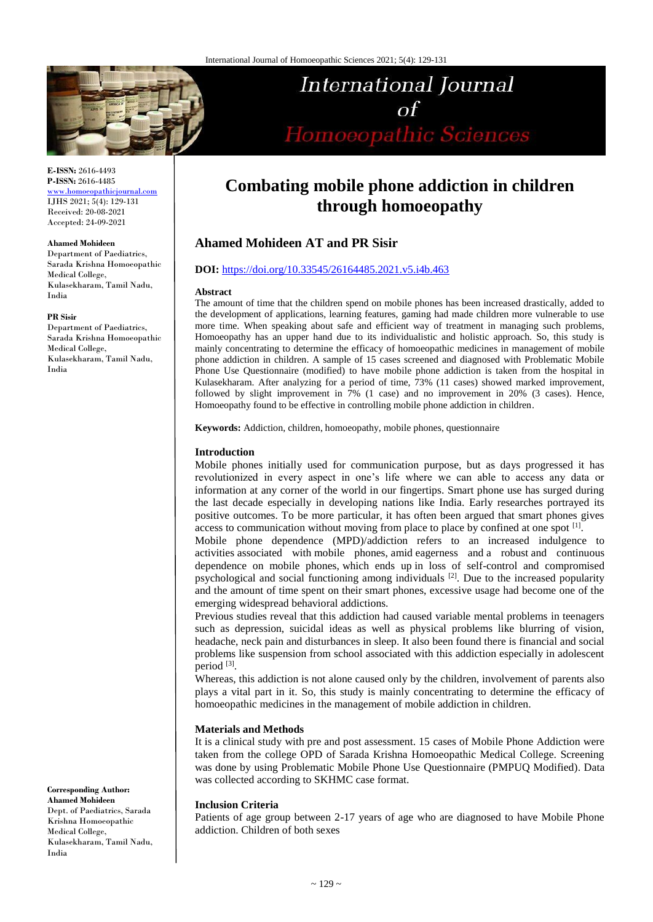

## **E-ISSN:** 2616-4493 **P-ISSN:** 2616-4485

[www.homoeopathicjournal.com](file://Server/test/homoeopathicjournal/issue/vol%204/issue%201/www.homoeopathicjournal.com) IJHS 2021; 5(4): 129-131 Received: 20-08-2021 Accepted: 24-09-2021

#### **Ahamed Mohideen**

Department of Paediatrics Sarada Krishna Homoeopathic Medical College, Kulasekharam, Tamil Nadu, India

#### **PR Sisir**

Department of Paediatrics, Sarada Krishna Homoeopathic Medical College, Kulasekharam, Tamil Nadu, India

**Corresponding Author: Ahamed Mohideen** Dept. of Paediatrics, Sarada Krishna Homoeopathic Medical College, Kulasekharam, Tamil Nadu, India

# **Combating mobile phone addiction in children through homoeopathy**

**International Journal** 

 $\alpha f$ 

Homoeopathic Sciences

# **Ahamed Mohideen AT and PR Sisir**

#### **DOI:** <https://doi.org/10.33545/26164485.2021.v5.i4b.463>

#### **Abstract**

The amount of time that the children spend on mobile phones has been increased drastically, added to the development of applications, learning features, gaming had made children more vulnerable to use more time. When speaking about safe and efficient way of treatment in managing such problems, Homoeopathy has an upper hand due to its individualistic and holistic approach. So, this study is mainly concentrating to determine the efficacy of homoeopathic medicines in management of mobile phone addiction in children. A sample of 15 cases screened and diagnosed with Problematic Mobile Phone Use Questionnaire (modified) to have mobile phone addiction is taken from the hospital in Kulasekharam. After analyzing for a period of time, 73% (11 cases) showed marked improvement, followed by slight improvement in 7% (1 case) and no improvement in 20% (3 cases). Hence, Homoeopathy found to be effective in controlling mobile phone addiction in children.

**Keywords:** Addiction, children, homoeopathy, mobile phones, questionnaire

#### **Introduction**

Mobile phones initially used for communication purpose, but as days progressed it has revolutionized in every aspect in one's life where we can able to access any data or information at any corner of the world in our fingertips. Smart phone use has surged during the last decade especially in developing nations like India. Early researches portrayed its positive outcomes. To be more particular, it has often been argued that smart phones gives access to communication without moving from place to place by confined at one spot [1].

Mobile phone dependence (MPD)/addiction refers to an increased indulgence to activities associated with mobile phones, amid eagerness and a robust and continuous dependence on mobile phones, which ends up in loss of self-control and compromised psychological and social functioning among individuals [2]. Due to the increased popularity and the amount of time spent on their smart phones, excessive usage had become one of the emerging widespread behavioral addictions.

Previous studies reveal that this addiction had caused variable mental problems in teenagers such as depression, suicidal ideas as well as physical problems like blurring of vision, headache, neck pain and disturbances in sleep. It also been found there is financial and social problems like suspension from school associated with this addiction especially in adolescent period [3].

Whereas, this addiction is not alone caused only by the children, involvement of parents also plays a vital part in it. So, this study is mainly concentrating to determine the efficacy of homoeopathic medicines in the management of mobile addiction in children.

#### **Materials and Methods**

It is a clinical study with pre and post assessment. 15 cases of Mobile Phone Addiction were taken from the college OPD of Sarada Krishna Homoeopathic Medical College. Screening was done by using Problematic Mobile Phone Use Questionnaire (PMPUQ Modified). Data was collected according to SKHMC case format.

#### **Inclusion Criteria**

Patients of age group between 2-17 years of age who are diagnosed to have Mobile Phone addiction. Children of both sexes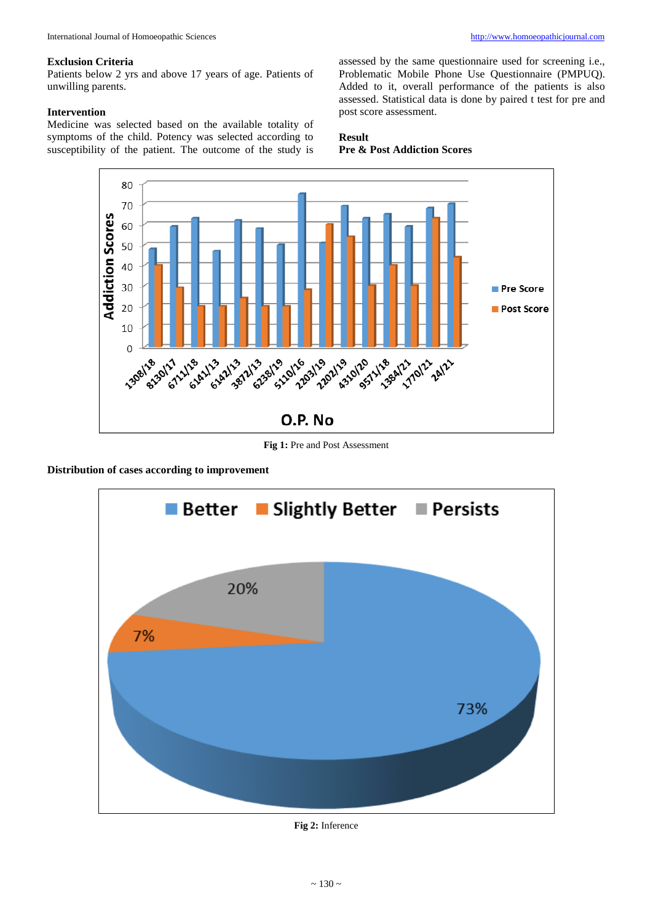#### **Exclusion Criteria**

Patients below 2 yrs and above 17 years of age. Patients of unwilling parents.

## **Intervention**

Medicine was selected based on the available totality of symptoms of the child. Potency was selected according to susceptibility of the patient. The outcome of the study is

assessed by the same questionnaire used for screening i.e., Problematic Mobile Phone Use Questionnaire (PMPUQ). Added to it, overall performance of the patients is also assessed. Statistical data is done by paired t test for pre and post score assessment.

# **Result Pre & Post Addiction Scores**



Fig 1: Pre and Post Assessment

**Distribution of cases according to improvement**



**Fig 2:** Inference